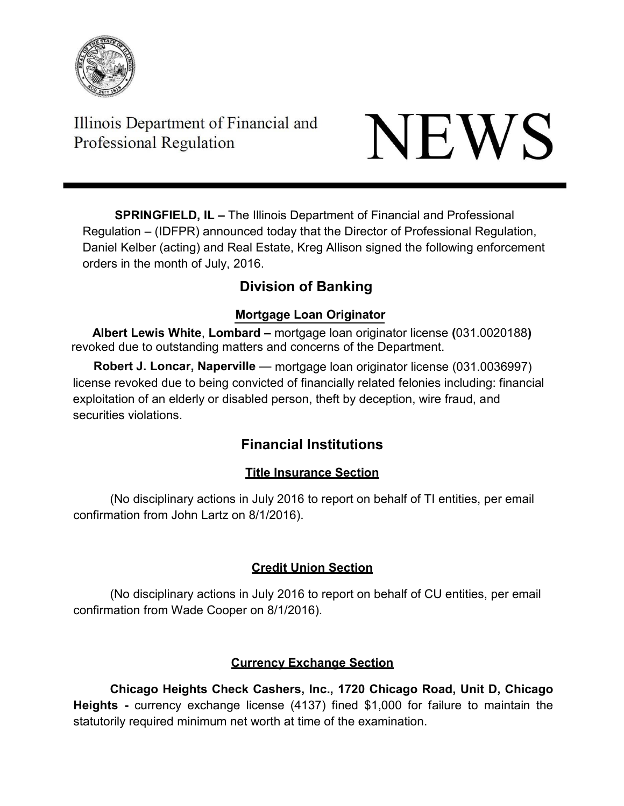

Illinois Department of Financial and Professional Regulation

# NEWS

**SPRINGFIELD, IL –** The Illinois Department of Financial and Professional Regulation – (IDFPR) announced today that the Director of Professional Regulation, Daniel Kelber (acting) and Real Estate, Kreg Allison signed the following enforcement orders in the month of July, 2016.

# **Division of Banking**

# **Mortgage Loan Originator**

**Albert Lewis White**, **Lombard –** mortgage loan originator license **(**031.0020188**)** revoked due to outstanding matters and concerns of the Department.

**Robert J. Loncar, Naperville** — mortgage loan originator license (031.0036997) license revoked due to being convicted of financially related felonies including: financial exploitation of an elderly or disabled person, theft by deception, wire fraud, and securities violations.

# **Financial Institutions**

# **Title Insurance Section**

(No disciplinary actions in July 2016 to report on behalf of TI entities, per email confirmation from John Lartz on 8/1/2016).

# **Credit Union Section**

(No disciplinary actions in July 2016 to report on behalf of CU entities, per email confirmation from Wade Cooper on 8/1/2016).

# **Currency Exchange Section**

**Chicago Heights Check Cashers, Inc., 1720 Chicago Road, Unit D, Chicago Heights -** currency exchange license (4137) fined \$1,000 for failure to maintain the statutorily required minimum net worth at time of the examination.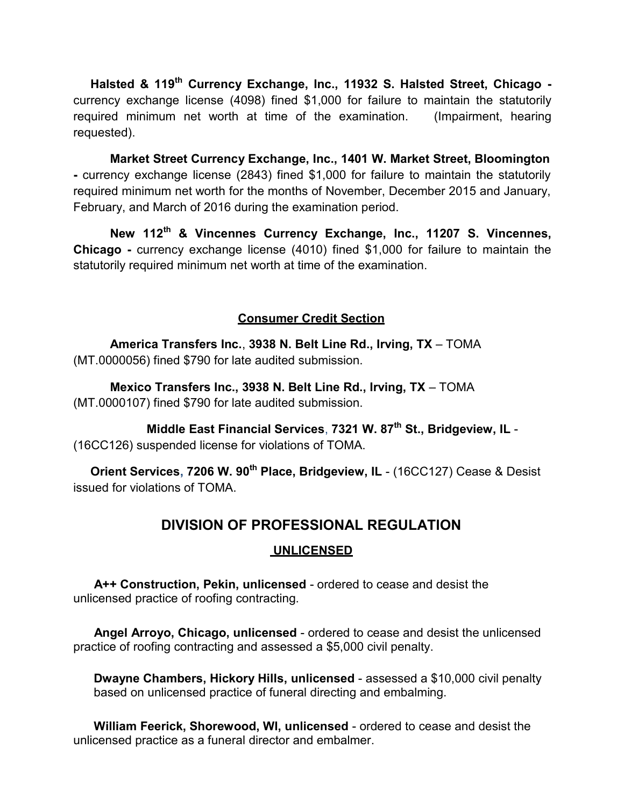**Halsted & 119th Currency Exchange, Inc., 11932 S. Halsted Street, Chicago**  currency exchange license (4098) fined \$1,000 for failure to maintain the statutorily required minimum net worth at time of the examination. (Impairment, hearing requested).

**Market Street Currency Exchange, Inc., 1401 W. Market Street, Bloomington -** currency exchange license (2843) fined \$1,000 for failure to maintain the statutorily required minimum net worth for the months of November, December 2015 and January, February, and March of 2016 during the examination period.

**New 112th & Vincennes Currency Exchange, Inc., 11207 S. Vincennes, Chicago -** currency exchange license (4010) fined \$1,000 for failure to maintain the statutorily required minimum net worth at time of the examination.

# **Consumer Credit Section**

**America Transfers Inc.**, **3938 N. Belt Line Rd., Irving, TX** – TOMA (MT.0000056) fined \$790 for late audited submission.

**Mexico Transfers Inc., 3938 N. Belt Line Rd., Irving, TX** – TOMA (MT.0000107) fined \$790 for late audited submission.

**Middle East Financial Services**, **7321 W. 87th St., Bridgeview, IL** - (16CC126) suspended license for violations of TOMA.

**Orient Services, 7206 W. 90th Place, Bridgeview, IL** - (16CC127) Cease & Desist issued for violations of TOMA.

# **DIVISION OF PROFESSIONAL REGULATION**

# **UNLICENSED**

**A++ Construction, Pekin, unlicensed** - ordered to cease and desist the unlicensed practice of roofing contracting.

**Angel Arroyo, Chicago, unlicensed** - ordered to cease and desist the unlicensed practice of roofing contracting and assessed a \$5,000 civil penalty.

**Dwayne Chambers, Hickory Hills, unlicensed** - assessed a \$10,000 civil penalty based on unlicensed practice of funeral directing and embalming.

**William Feerick, Shorewood, WI, unlicensed** - ordered to cease and desist the unlicensed practice as a funeral director and embalmer.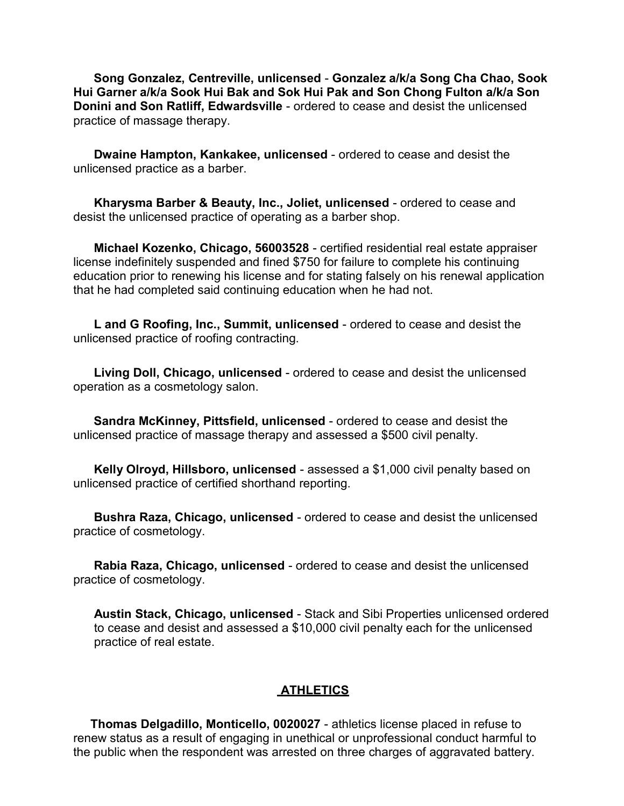**Song Gonzalez, Centreville, unlicensed** - **Gonzalez a/k/a Song Cha Chao, Sook Hui Garner a/k/a Sook Hui Bak and Sok Hui Pak and Son Chong Fulton a/k/a Son Donini and Son Ratliff, Edwardsville** - ordered to cease and desist the unlicensed practice of massage therapy.

**Dwaine Hampton, Kankakee, unlicensed** - ordered to cease and desist the unlicensed practice as a barber.

**Kharysma Barber & Beauty, Inc., Joliet, unlicensed** - ordered to cease and desist the unlicensed practice of operating as a barber shop.

**Michael Kozenko, Chicago, 56003528** - certified residential real estate appraiser license indefinitely suspended and fined \$750 for failure to complete his continuing education prior to renewing his license and for stating falsely on his renewal application that he had completed said continuing education when he had not.

**L and G Roofing, Inc., Summit, unlicensed** - ordered to cease and desist the unlicensed practice of roofing contracting.

**Living Doll, Chicago, unlicensed** - ordered to cease and desist the unlicensed operation as a cosmetology salon.

**Sandra McKinney, Pittsfield, unlicensed** - ordered to cease and desist the unlicensed practice of massage therapy and assessed a \$500 civil penalty.

**Kelly Olroyd, Hillsboro, unlicensed** - assessed a \$1,000 civil penalty based on unlicensed practice of certified shorthand reporting.

**Bushra Raza, Chicago, unlicensed** - ordered to cease and desist the unlicensed practice of cosmetology.

**Rabia Raza, Chicago, unlicensed** - ordered to cease and desist the unlicensed practice of cosmetology.

**Austin Stack, Chicago, unlicensed** - Stack and Sibi Properties unlicensed ordered to cease and desist and assessed a \$10,000 civil penalty each for the unlicensed practice of real estate.

# **ATHLETICS**

**Thomas Delgadillo, Monticello, 0020027** - athletics license placed in refuse to renew status as a result of engaging in unethical or unprofessional conduct harmful to the public when the respondent was arrested on three charges of aggravated battery.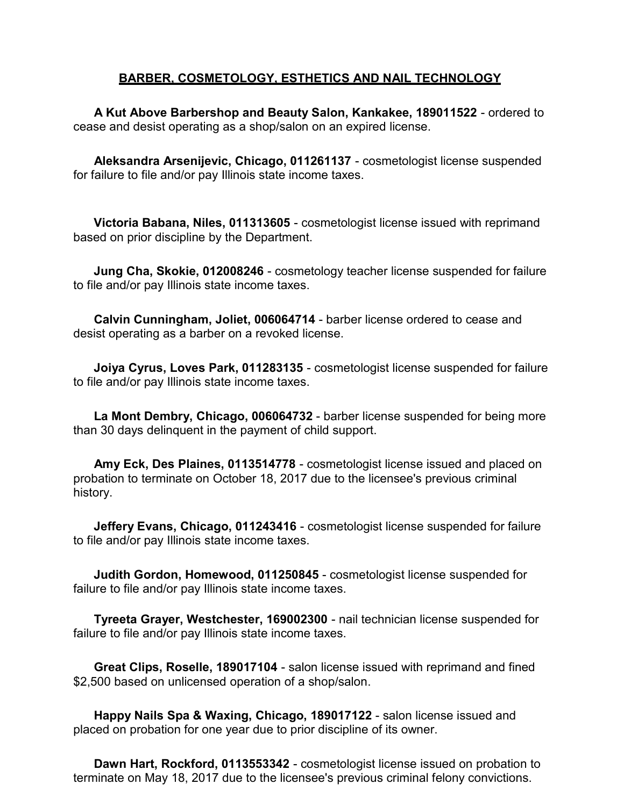# **BARBER, COSMETOLOGY, ESTHETICS AND NAIL TECHNOLOGY**

**A Kut Above Barbershop and Beauty Salon, Kankakee, 189011522** - ordered to cease and desist operating as a shop/salon on an expired license.

**Aleksandra Arsenijevic, Chicago, 011261137** - cosmetologist license suspended for failure to file and/or pay Illinois state income taxes.

**Victoria Babana, Niles, 011313605** - cosmetologist license issued with reprimand based on prior discipline by the Department.

**Jung Cha, Skokie, 012008246** - cosmetology teacher license suspended for failure to file and/or pay Illinois state income taxes.

**Calvin Cunningham, Joliet, 006064714** - barber license ordered to cease and desist operating as a barber on a revoked license.

**Joiya Cyrus, Loves Park, 011283135** - cosmetologist license suspended for failure to file and/or pay Illinois state income taxes.

**La Mont Dembry, Chicago, 006064732** - barber license suspended for being more than 30 days delinquent in the payment of child support.

**Amy Eck, Des Plaines, 0113514778** - cosmetologist license issued and placed on probation to terminate on October 18, 2017 due to the licensee's previous criminal history.

**Jeffery Evans, Chicago, 011243416** - cosmetologist license suspended for failure to file and/or pay Illinois state income taxes.

**Judith Gordon, Homewood, 011250845** - cosmetologist license suspended for failure to file and/or pay Illinois state income taxes.

**Tyreeta Grayer, Westchester, 169002300** - nail technician license suspended for failure to file and/or pay Illinois state income taxes.

**Great Clips, Roselle, 189017104** - salon license issued with reprimand and fined \$2,500 based on unlicensed operation of a shop/salon.

**Happy Nails Spa & Waxing, Chicago, 189017122** - salon license issued and placed on probation for one year due to prior discipline of its owner.

**Dawn Hart, Rockford, 0113553342** - cosmetologist license issued on probation to terminate on May 18, 2017 due to the licensee's previous criminal felony convictions.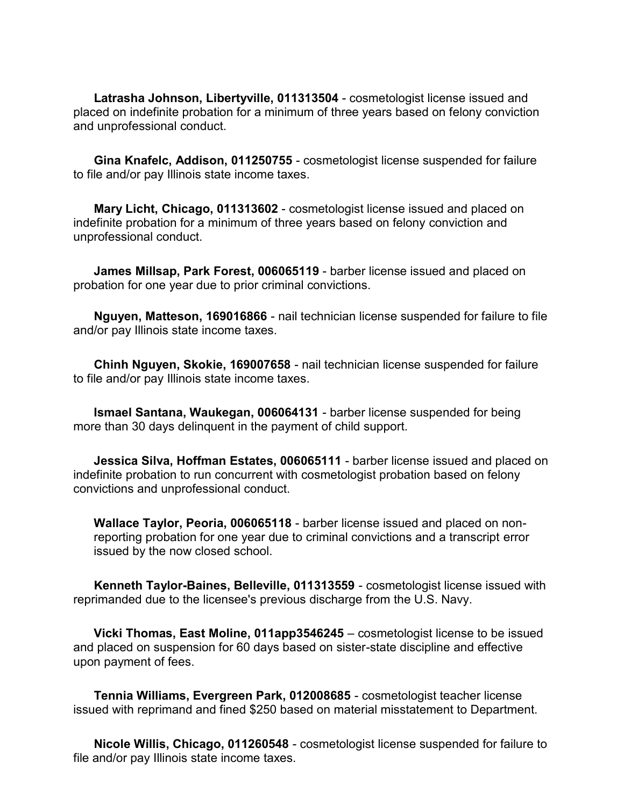**Latrasha Johnson, Libertyville, 011313504** - cosmetologist license issued and placed on indefinite probation for a minimum of three years based on felony conviction and unprofessional conduct.

**Gina Knafelc, Addison, 011250755** - cosmetologist license suspended for failure to file and/or pay Illinois state income taxes.

**Mary Licht, Chicago, 011313602** - cosmetologist license issued and placed on indefinite probation for a minimum of three years based on felony conviction and unprofessional conduct.

**James Millsap, Park Forest, 006065119** - barber license issued and placed on probation for one year due to prior criminal convictions.

**Nguyen, Matteson, 169016866** - nail technician license suspended for failure to file and/or pay Illinois state income taxes.

**Chinh Nguyen, Skokie, 169007658** - nail technician license suspended for failure to file and/or pay Illinois state income taxes.

**Ismael Santana, Waukegan, 006064131** - barber license suspended for being more than 30 days delinquent in the payment of child support.

**Jessica Silva, Hoffman Estates, 006065111** - barber license issued and placed on indefinite probation to run concurrent with cosmetologist probation based on felony convictions and unprofessional conduct.

**Wallace Taylor, Peoria, 006065118** - barber license issued and placed on nonreporting probation for one year due to criminal convictions and a transcript error issued by the now closed school.

**Kenneth Taylor-Baines, Belleville, 011313559** - cosmetologist license issued with reprimanded due to the licensee's previous discharge from the U.S. Navy.

**Vicki Thomas, East Moline, 011app3546245** – cosmetologist license to be issued and placed on suspension for 60 days based on sister-state discipline and effective upon payment of fees.

**Tennia Williams, Evergreen Park, 012008685** - cosmetologist teacher license issued with reprimand and fined \$250 based on material misstatement to Department.

**Nicole Willis, Chicago, 011260548** - cosmetologist license suspended for failure to file and/or pay Illinois state income taxes.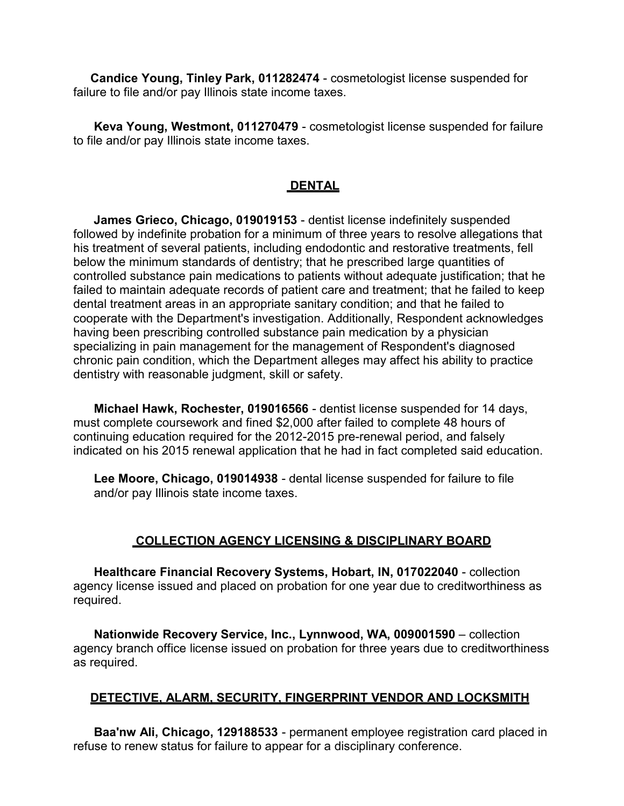**Candice Young, Tinley Park, 011282474** - cosmetologist license suspended for failure to file and/or pay Illinois state income taxes.

**Keva Young, Westmont, 011270479** - cosmetologist license suspended for failure to file and/or pay Illinois state income taxes.

# **DENTAL**

**James Grieco, Chicago, 019019153** - dentist license indefinitely suspended followed by indefinite probation for a minimum of three years to resolve allegations that his treatment of several patients, including endodontic and restorative treatments, fell below the minimum standards of dentistry; that he prescribed large quantities of controlled substance pain medications to patients without adequate justification; that he failed to maintain adequate records of patient care and treatment; that he failed to keep dental treatment areas in an appropriate sanitary condition; and that he failed to cooperate with the Department's investigation. Additionally, Respondent acknowledges having been prescribing controlled substance pain medication by a physician specializing in pain management for the management of Respondent's diagnosed chronic pain condition, which the Department alleges may affect his ability to practice dentistry with reasonable judgment, skill or safety.

**Michael Hawk, Rochester, 019016566** - dentist license suspended for 14 days, must complete coursework and fined \$2,000 after failed to complete 48 hours of continuing education required for the 2012-2015 pre-renewal period, and falsely indicated on his 2015 renewal application that he had in fact completed said education.

**Lee Moore, Chicago, 019014938** - dental license suspended for failure to file and/or pay Illinois state income taxes.

# **COLLECTION AGENCY LICENSING & DISCIPLINARY BOARD**

**Healthcare Financial Recovery Systems, Hobart, IN, 017022040** - collection agency license issued and placed on probation for one year due to creditworthiness as required.

**Nationwide Recovery Service, Inc., Lynnwood, WA, 009001590** – collection agency branch office license issued on probation for three years due to creditworthiness as required.

# **DETECTIVE, ALARM, SECURITY, FINGERPRINT VENDOR AND LOCKSMITH**

**Baa'nw Ali, Chicago, 129188533** - permanent employee registration card placed in refuse to renew status for failure to appear for a disciplinary conference.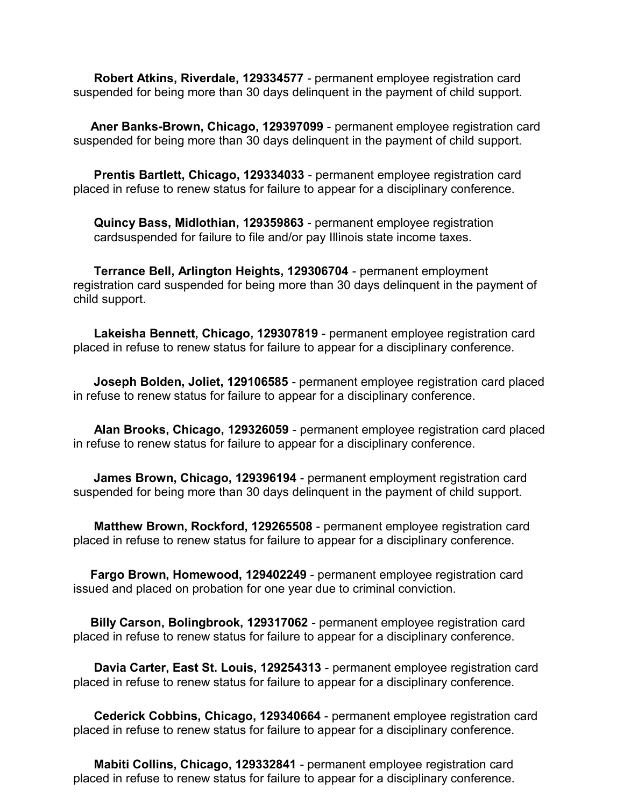**Robert Atkins, Riverdale, 129334577** - permanent employee registration card suspended for being more than 30 days delinquent in the payment of child support.

**Aner Banks-Brown, Chicago, 129397099** - permanent employee registration card suspended for being more than 30 days delinquent in the payment of child support.

**Prentis Bartlett, Chicago, 129334033** - permanent employee registration card placed in refuse to renew status for failure to appear for a disciplinary conference.

**Quincy Bass, Midlothian, 129359863** - permanent employee registration cardsuspended for failure to file and/or pay Illinois state income taxes.

**Terrance Bell, Arlington Heights, 129306704** - permanent employment registration card suspended for being more than 30 days delinquent in the payment of child support.

**Lakeisha Bennett, Chicago, 129307819** - permanent employee registration card placed in refuse to renew status for failure to appear for a disciplinary conference.

**Joseph Bolden, Joliet, 129106585** - permanent employee registration card placed in refuse to renew status for failure to appear for a disciplinary conference.

**Alan Brooks, Chicago, 129326059** - permanent employee registration card placed in refuse to renew status for failure to appear for a disciplinary conference.

**James Brown, Chicago, 129396194** - permanent employment registration card suspended for being more than 30 days delinquent in the payment of child support.

**Matthew Brown, Rockford, 129265508** - permanent employee registration card placed in refuse to renew status for failure to appear for a disciplinary conference.

**Fargo Brown, Homewood, 129402249** - permanent employee registration card issued and placed on probation for one year due to criminal conviction.

**Billy Carson, Bolingbrook, 129317062** - permanent employee registration card placed in refuse to renew status for failure to appear for a disciplinary conference.

**Davia Carter, East St. Louis, 129254313** - permanent employee registration card placed in refuse to renew status for failure to appear for a disciplinary conference.

**Cederick Cobbins, Chicago, 129340664** - permanent employee registration card placed in refuse to renew status for failure to appear for a disciplinary conference.

**Mabiti Collins, Chicago, 129332841** - permanent employee registration card placed in refuse to renew status for failure to appear for a disciplinary conference.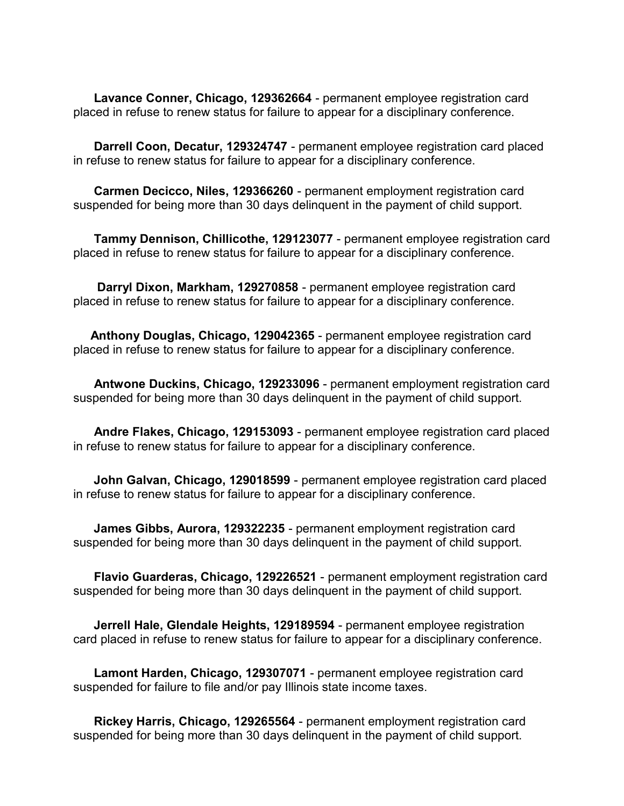**Lavance Conner, Chicago, 129362664** - permanent employee registration card placed in refuse to renew status for failure to appear for a disciplinary conference.

**Darrell Coon, Decatur, 129324747** - permanent employee registration card placed in refuse to renew status for failure to appear for a disciplinary conference.

**Carmen Decicco, Niles, 129366260** - permanent employment registration card suspended for being more than 30 days delinquent in the payment of child support.

**Tammy Dennison, Chillicothe, 129123077** - permanent employee registration card placed in refuse to renew status for failure to appear for a disciplinary conference.

**Darryl Dixon, Markham, 129270858** - permanent employee registration card placed in refuse to renew status for failure to appear for a disciplinary conference.

**Anthony Douglas, Chicago, 129042365** - permanent employee registration card placed in refuse to renew status for failure to appear for a disciplinary conference.

**Antwone Duckins, Chicago, 129233096** - permanent employment registration card suspended for being more than 30 days delinquent in the payment of child support.

**Andre Flakes, Chicago, 129153093** - permanent employee registration card placed in refuse to renew status for failure to appear for a disciplinary conference.

**John Galvan, Chicago, 129018599** - permanent employee registration card placed in refuse to renew status for failure to appear for a disciplinary conference.

**James Gibbs, Aurora, 129322235** - permanent employment registration card suspended for being more than 30 days delinquent in the payment of child support.

**Flavio Guarderas, Chicago, 129226521** - permanent employment registration card suspended for being more than 30 days delinquent in the payment of child support.

**Jerrell Hale, Glendale Heights, 129189594** - permanent employee registration card placed in refuse to renew status for failure to appear for a disciplinary conference.

**Lamont Harden, Chicago, 129307071** - permanent employee registration card suspended for failure to file and/or pay Illinois state income taxes.

**Rickey Harris, Chicago, 129265564** - permanent employment registration card suspended for being more than 30 days delinquent in the payment of child support.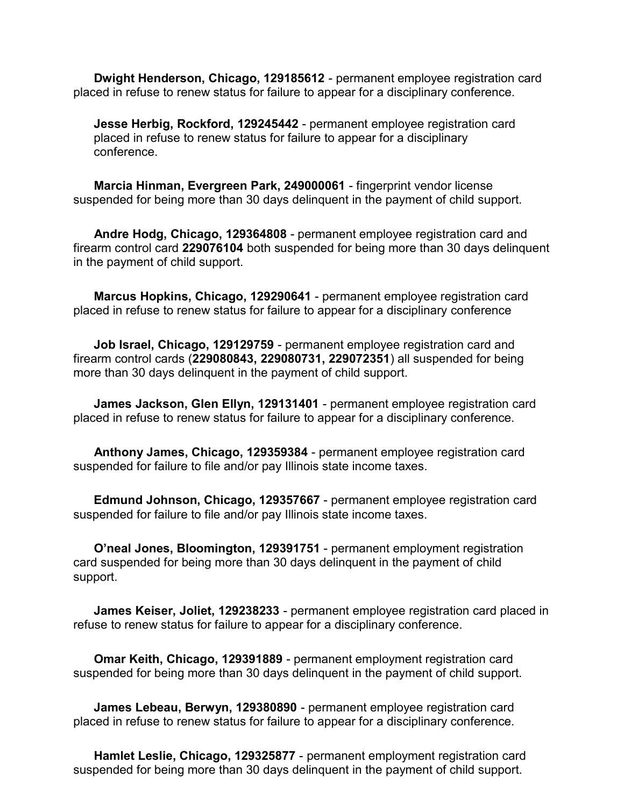**Dwight Henderson, Chicago, 129185612** - permanent employee registration card placed in refuse to renew status for failure to appear for a disciplinary conference.

**Jesse Herbig, Rockford, 129245442** - permanent employee registration card placed in refuse to renew status for failure to appear for a disciplinary conference.

**Marcia Hinman, Evergreen Park, 249000061** - fingerprint vendor license suspended for being more than 30 days delinquent in the payment of child support.

**Andre Hodg, Chicago, 129364808** - permanent employee registration card and firearm control card **229076104** both suspended for being more than 30 days delinquent in the payment of child support.

**Marcus Hopkins, Chicago, 129290641** - permanent employee registration card placed in refuse to renew status for failure to appear for a disciplinary conference

**Job Israel, Chicago, 129129759** - permanent employee registration card and firearm control cards (**229080843, 229080731, 229072351**) all suspended for being more than 30 days delinquent in the payment of child support.

**James Jackson, Glen Ellyn, 129131401** - permanent employee registration card placed in refuse to renew status for failure to appear for a disciplinary conference.

**Anthony James, Chicago, 129359384** - permanent employee registration card suspended for failure to file and/or pay Illinois state income taxes.

**Edmund Johnson, Chicago, 129357667** - permanent employee registration card suspended for failure to file and/or pay Illinois state income taxes.

**O'neal Jones, Bloomington, 129391751** - permanent employment registration card suspended for being more than 30 days delinquent in the payment of child support.

**James Keiser, Joliet, 129238233** - permanent employee registration card placed in refuse to renew status for failure to appear for a disciplinary conference.

**Omar Keith, Chicago, 129391889** - permanent employment registration card suspended for being more than 30 days delinquent in the payment of child support.

**James Lebeau, Berwyn, 129380890** - permanent employee registration card placed in refuse to renew status for failure to appear for a disciplinary conference.

**Hamlet Leslie, Chicago, 129325877** - permanent employment registration card suspended for being more than 30 days delinquent in the payment of child support.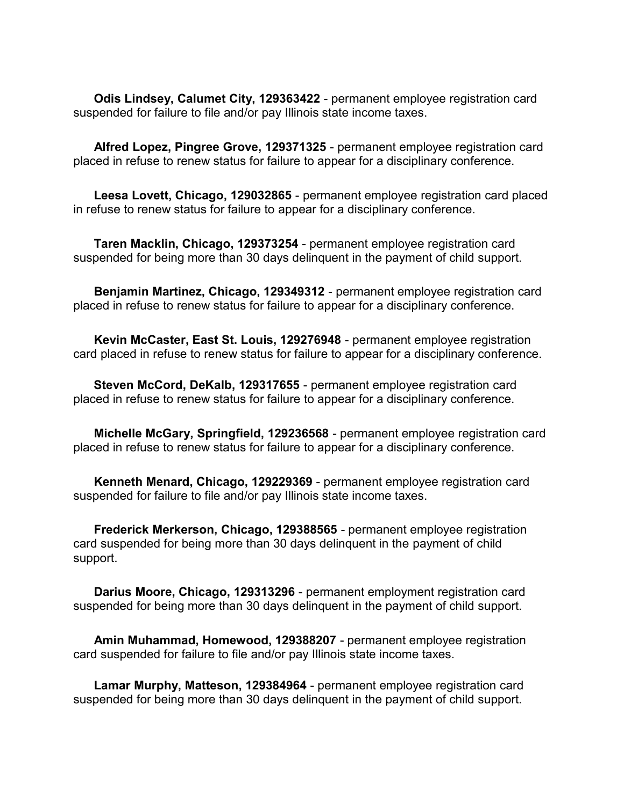**Odis Lindsey, Calumet City, 129363422** - permanent employee registration card suspended for failure to file and/or pay Illinois state income taxes.

**Alfred Lopez, Pingree Grove, 129371325** - permanent employee registration card placed in refuse to renew status for failure to appear for a disciplinary conference.

**Leesa Lovett, Chicago, 129032865** - permanent employee registration card placed in refuse to renew status for failure to appear for a disciplinary conference.

**Taren Macklin, Chicago, 129373254** - permanent employee registration card suspended for being more than 30 days delinquent in the payment of child support.

**Benjamin Martinez, Chicago, 129349312** - permanent employee registration card placed in refuse to renew status for failure to appear for a disciplinary conference.

**Kevin McCaster, East St. Louis, 129276948** - permanent employee registration card placed in refuse to renew status for failure to appear for a disciplinary conference.

**Steven McCord, DeKalb, 129317655** - permanent employee registration card placed in refuse to renew status for failure to appear for a disciplinary conference.

**Michelle McGary, Springfield, 129236568** - permanent employee registration card placed in refuse to renew status for failure to appear for a disciplinary conference.

**Kenneth Menard, Chicago, 129229369** - permanent employee registration card suspended for failure to file and/or pay Illinois state income taxes.

**Frederick Merkerson, Chicago, 129388565** - permanent employee registration card suspended for being more than 30 days delinquent in the payment of child support.

**Darius Moore, Chicago, 129313296** - permanent employment registration card suspended for being more than 30 days delinquent in the payment of child support.

**Amin Muhammad, Homewood, 129388207** - permanent employee registration card suspended for failure to file and/or pay Illinois state income taxes.

**Lamar Murphy, Matteson, 129384964** - permanent employee registration card suspended for being more than 30 days delinquent in the payment of child support.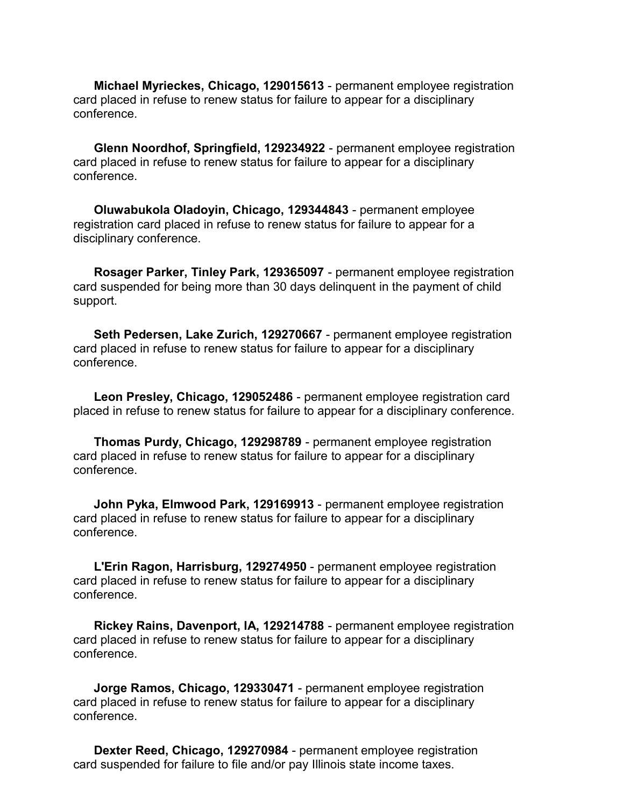**Michael Myrieckes, Chicago, 129015613** - permanent employee registration card placed in refuse to renew status for failure to appear for a disciplinary conference.

**Glenn Noordhof, Springfield, 129234922** - permanent employee registration card placed in refuse to renew status for failure to appear for a disciplinary conference.

**Oluwabukola Oladoyin, Chicago, 129344843** - permanent employee registration card placed in refuse to renew status for failure to appear for a disciplinary conference.

**Rosager Parker, Tinley Park, 129365097** - permanent employee registration card suspended for being more than 30 days delinquent in the payment of child support.

**Seth Pedersen, Lake Zurich, 129270667** - permanent employee registration card placed in refuse to renew status for failure to appear for a disciplinary conference.

**Leon Presley, Chicago, 129052486** - permanent employee registration card placed in refuse to renew status for failure to appear for a disciplinary conference.

**Thomas Purdy, Chicago, 129298789** - permanent employee registration card placed in refuse to renew status for failure to appear for a disciplinary conference.

**John Pyka, Elmwood Park, 129169913** - permanent employee registration card placed in refuse to renew status for failure to appear for a disciplinary conference.

**L'Erin Ragon, Harrisburg, 129274950** - permanent employee registration card placed in refuse to renew status for failure to appear for a disciplinary conference.

**Rickey Rains, Davenport, IA, 129214788** - permanent employee registration card placed in refuse to renew status for failure to appear for a disciplinary conference.

**Jorge Ramos, Chicago, 129330471** - permanent employee registration card placed in refuse to renew status for failure to appear for a disciplinary conference.

**Dexter Reed, Chicago, 129270984** - permanent employee registration card suspended for failure to file and/or pay Illinois state income taxes.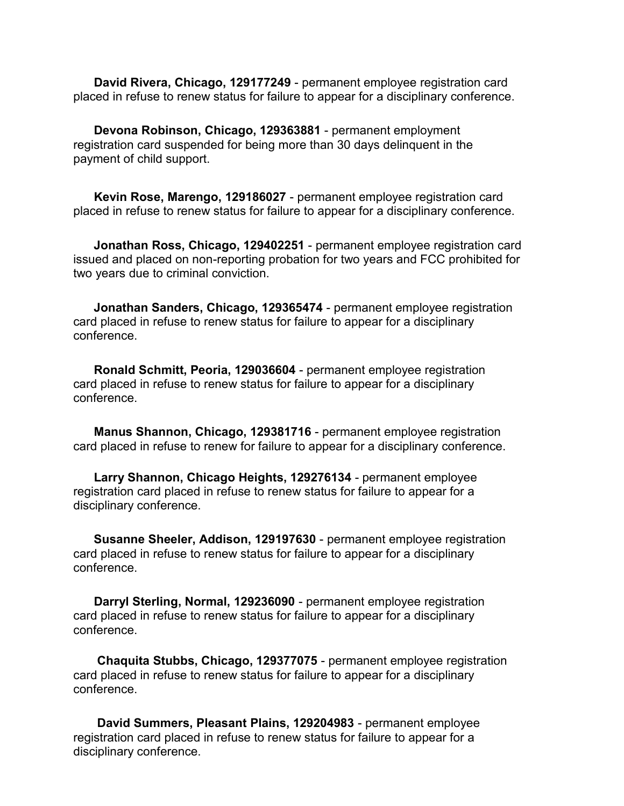**David Rivera, Chicago, 129177249** - permanent employee registration card placed in refuse to renew status for failure to appear for a disciplinary conference.

**Devona Robinson, Chicago, 129363881** - permanent employment registration card suspended for being more than 30 days delinquent in the payment of child support.

**Kevin Rose, Marengo, 129186027** - permanent employee registration card placed in refuse to renew status for failure to appear for a disciplinary conference.

**Jonathan Ross, Chicago, 129402251** - permanent employee registration card issued and placed on non-reporting probation for two years and FCC prohibited for two years due to criminal conviction.

**Jonathan Sanders, Chicago, 129365474** - permanent employee registration card placed in refuse to renew status for failure to appear for a disciplinary conference.

**Ronald Schmitt, Peoria, 129036604** - permanent employee registration card placed in refuse to renew status for failure to appear for a disciplinary conference.

**Manus Shannon, Chicago, 129381716** - permanent employee registration card placed in refuse to renew for failure to appear for a disciplinary conference.

**Larry Shannon, Chicago Heights, 129276134** - permanent employee registration card placed in refuse to renew status for failure to appear for a disciplinary conference.

**Susanne Sheeler, Addison, 129197630** - permanent employee registration card placed in refuse to renew status for failure to appear for a disciplinary conference.

**Darryl Sterling, Normal, 129236090** - permanent employee registration card placed in refuse to renew status for failure to appear for a disciplinary conference.

**Chaquita Stubbs, Chicago, 129377075** - permanent employee registration card placed in refuse to renew status for failure to appear for a disciplinary conference.

**David Summers, Pleasant Plains, 129204983** - permanent employee registration card placed in refuse to renew status for failure to appear for a disciplinary conference.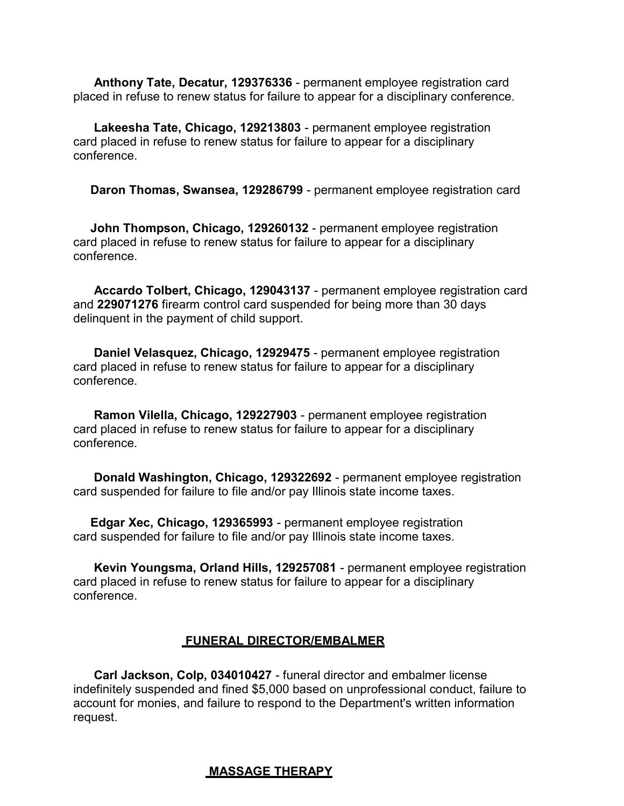**Anthony Tate, Decatur, 129376336** - permanent employee registration card placed in refuse to renew status for failure to appear for a disciplinary conference.

**Lakeesha Tate, Chicago, 129213803** - permanent employee registration card placed in refuse to renew status for failure to appear for a disciplinary conference.

**Daron Thomas, Swansea, 129286799** - permanent employee registration card

**John Thompson, Chicago, 129260132** - permanent employee registration card placed in refuse to renew status for failure to appear for a disciplinary conference.

**Accardo Tolbert, Chicago, 129043137** - permanent employee registration card and **229071276** firearm control card suspended for being more than 30 days delinquent in the payment of child support.

**Daniel Velasquez, Chicago, 12929475** - permanent employee registration card placed in refuse to renew status for failure to appear for a disciplinary conference.

**Ramon Vilella, Chicago, 129227903** - permanent employee registration card placed in refuse to renew status for failure to appear for a disciplinary conference.

**Donald Washington, Chicago, 129322692** - permanent employee registration card suspended for failure to file and/or pay Illinois state income taxes.

**Edgar Xec, Chicago, 129365993** - permanent employee registration card suspended for failure to file and/or pay Illinois state income taxes.

**Kevin Youngsma, Orland Hills, 129257081** - permanent employee registration card placed in refuse to renew status for failure to appear for a disciplinary conference.

#### **FUNERAL DIRECTOR/EMBALMER**

**Carl Jackson, Colp, 034010427** - funeral director and embalmer license indefinitely suspended and fined \$5,000 based on unprofessional conduct, failure to account for monies, and failure to respond to the Department's written information request.

#### **MASSAGE THERAPY**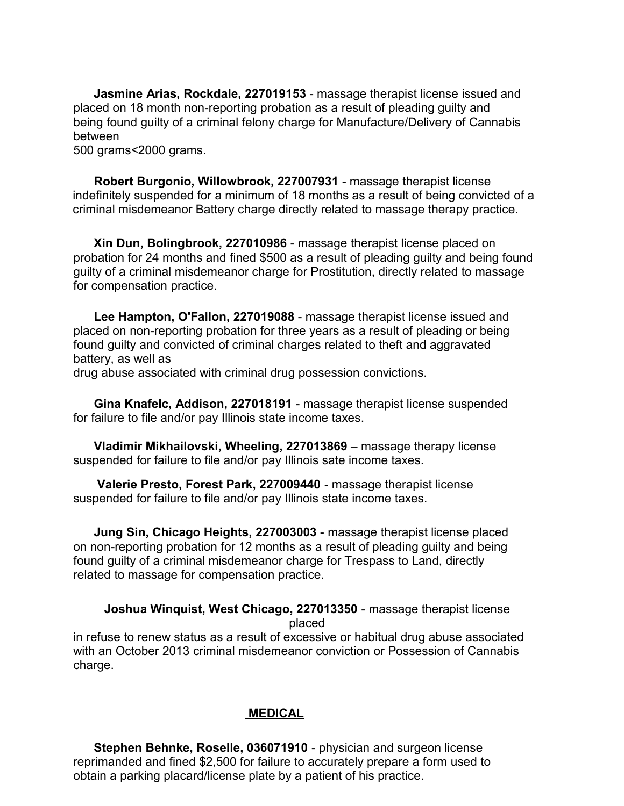**Jasmine Arias, Rockdale, 227019153** - massage therapist license issued and placed on 18 month non-reporting probation as a result of pleading guilty and being found guilty of a criminal felony charge for Manufacture/Delivery of Cannabis between

500 grams<2000 grams.

**Robert Burgonio, Willowbrook, 227007931** - massage therapist license indefinitely suspended for a minimum of 18 months as a result of being convicted of a criminal misdemeanor Battery charge directly related to massage therapy practice.

**Xin Dun, Bolingbrook, 227010986** - massage therapist license placed on probation for 24 months and fined \$500 as a result of pleading guilty and being found guilty of a criminal misdemeanor charge for Prostitution, directly related to massage for compensation practice.

**Lee Hampton, O'Fallon, 227019088** - massage therapist license issued and placed on non-reporting probation for three years as a result of pleading or being found guilty and convicted of criminal charges related to theft and aggravated battery, as well as

drug abuse associated with criminal drug possession convictions.

**Gina Knafelc, Addison, 227018191** - massage therapist license suspended for failure to file and/or pay Illinois state income taxes.

**Vladimir Mikhailovski, Wheeling, 227013869** – massage therapy license suspended for failure to file and/or pay Illinois sate income taxes.

**Valerie Presto, Forest Park, 227009440** - massage therapist license suspended for failure to file and/or pay Illinois state income taxes.

**Jung Sin, Chicago Heights, 227003003** - massage therapist license placed on non-reporting probation for 12 months as a result of pleading guilty and being found guilty of a criminal misdemeanor charge for Trespass to Land, directly related to massage for compensation practice.

**Joshua Winquist, West Chicago, 227013350** - massage therapist license placed

in refuse to renew status as a result of excessive or habitual drug abuse associated with an October 2013 criminal misdemeanor conviction or Possession of Cannabis charge.

# **MEDICAL**

**Stephen Behnke, Roselle, 036071910** - physician and surgeon license reprimanded and fined \$2,500 for failure to accurately prepare a form used to obtain a parking placard/license plate by a patient of his practice.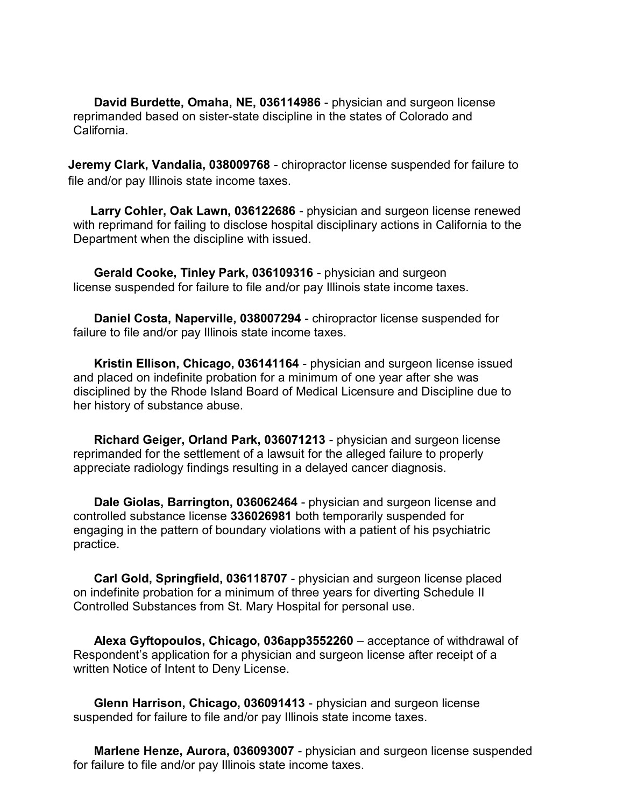**David Burdette, Omaha, NE, 036114986** - physician and surgeon license reprimanded based on sister-state discipline in the states of Colorado and California.

**Jeremy Clark, Vandalia, 038009768** - chiropractor license suspended for failure to file and/or pay Illinois state income taxes.

**Larry Cohler, Oak Lawn, 036122686** - physician and surgeon license renewed with reprimand for failing to disclose hospital disciplinary actions in California to the Department when the discipline with issued.

**Gerald Cooke, Tinley Park, 036109316** - physician and surgeon license suspended for failure to file and/or pay Illinois state income taxes.

**Daniel Costa, Naperville, 038007294** - chiropractor license suspended for failure to file and/or pay Illinois state income taxes.

**Kristin Ellison, Chicago, 036141164** - physician and surgeon license issued and placed on indefinite probation for a minimum of one year after she was disciplined by the Rhode Island Board of Medical Licensure and Discipline due to her history of substance abuse.

**Richard Geiger, Orland Park, 036071213** - physician and surgeon license reprimanded for the settlement of a lawsuit for the alleged failure to properly appreciate radiology findings resulting in a delayed cancer diagnosis.

**Dale Giolas, Barrington, 036062464** - physician and surgeon license and controlled substance license **336026981** both temporarily suspended for engaging in the pattern of boundary violations with a patient of his psychiatric practice.

**Carl Gold, Springfield, 036118707** - physician and surgeon license placed on indefinite probation for a minimum of three years for diverting Schedule II Controlled Substances from St. Mary Hospital for personal use.

**Alexa Gyftopoulos, Chicago, 036app3552260** – acceptance of withdrawal of Respondent's application for a physician and surgeon license after receipt of a written Notice of Intent to Deny License.

**Glenn Harrison, Chicago, 036091413** - physician and surgeon license suspended for failure to file and/or pay Illinois state income taxes.

**Marlene Henze, Aurora, 036093007** - physician and surgeon license suspended for failure to file and/or pay Illinois state income taxes.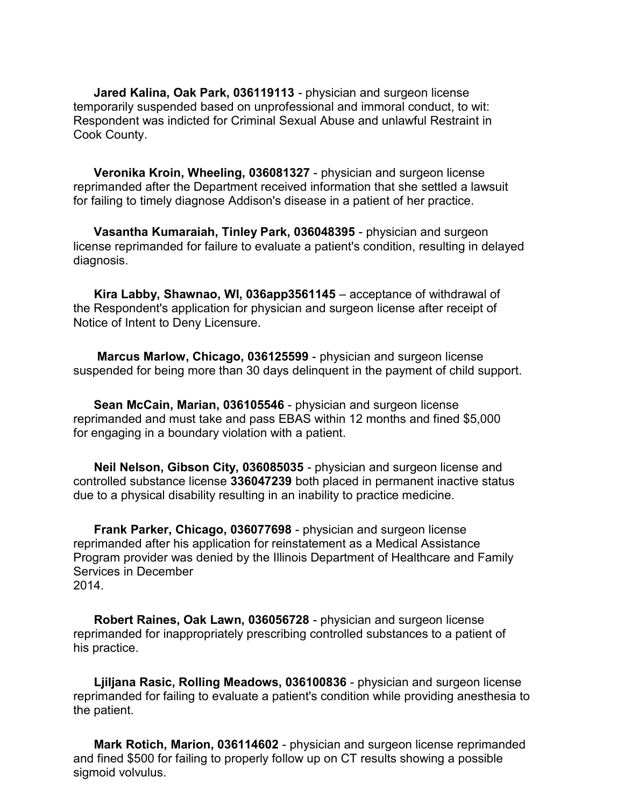**Jared Kalina, Oak Park, 036119113** - physician and surgeon license temporarily suspended based on unprofessional and immoral conduct, to wit: Respondent was indicted for Criminal Sexual Abuse and unlawful Restraint in Cook County.

**Veronika Kroin, Wheeling, 036081327** - physician and surgeon license reprimanded after the Department received information that she settled a lawsuit for failing to timely diagnose Addison's disease in a patient of her practice.

**Vasantha Kumaraiah, Tinley Park, 036048395** - physician and surgeon license reprimanded for failure to evaluate a patient's condition, resulting in delayed diagnosis.

**Kira Labby, Shawnao, WI, 036app3561145** – acceptance of withdrawal of the Respondent's application for physician and surgeon license after receipt of Notice of Intent to Deny Licensure.

**Marcus Marlow, Chicago, 036125599** - physician and surgeon license suspended for being more than 30 days delinquent in the payment of child support.

**Sean McCain, Marian, 036105546** - physician and surgeon license reprimanded and must take and pass EBAS within 12 months and fined \$5,000 for engaging in a boundary violation with a patient.

**Neil Nelson, Gibson City, 036085035** - physician and surgeon license and controlled substance license **336047239** both placed in permanent inactive status due to a physical disability resulting in an inability to practice medicine.

**Frank Parker, Chicago, 036077698** - physician and surgeon license reprimanded after his application for reinstatement as a Medical Assistance Program provider was denied by the Illinois Department of Healthcare and Family Services in December 2014.

**Robert Raines, Oak Lawn, 036056728** - physician and surgeon license reprimanded for inappropriately prescribing controlled substances to a patient of his practice.

**Ljiljana Rasic, Rolling Meadows, 036100836** - physician and surgeon license reprimanded for failing to evaluate a patient's condition while providing anesthesia to the patient.

**Mark Rotich, Marion, 036114602** - physician and surgeon license reprimanded and fined \$500 for failing to properly follow up on CT results showing a possible sigmoid volvulus.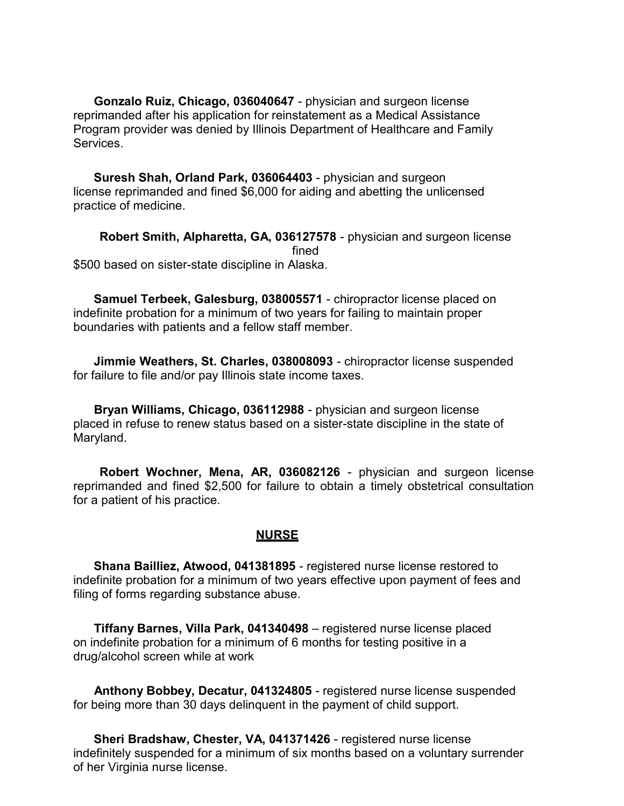**Gonzalo Ruiz, Chicago, 036040647** - physician and surgeon license reprimanded after his application for reinstatement as a Medical Assistance Program provider was denied by Illinois Department of Healthcare and Family Services.

**Suresh Shah, Orland Park, 036064403** - physician and surgeon license reprimanded and fined \$6,000 for aiding and abetting the unlicensed practice of medicine.

**Robert Smith, Alpharetta, GA, 036127578** - physician and surgeon license fined \$500 based on sister-state discipline in Alaska.

**Samuel Terbeek, Galesburg, 038005571** - chiropractor license placed on indefinite probation for a minimum of two years for failing to maintain proper boundaries with patients and a fellow staff member.

**Jimmie Weathers, St. Charles, 038008093** - chiropractor license suspended for failure to file and/or pay Illinois state income taxes.

**Bryan Williams, Chicago, 036112988** - physician and surgeon license placed in refuse to renew status based on a sister-state discipline in the state of Maryland.

**Robert Wochner, Mena, AR, 036082126** - physician and surgeon license reprimanded and fined \$2,500 for failure to obtain a timely obstetrical consultation for a patient of his practice.

#### **NURSE**

**Shana Bailliez, Atwood, 041381895** - registered nurse license restored to indefinite probation for a minimum of two years effective upon payment of fees and filing of forms regarding substance abuse.

**Tiffany Barnes, Villa Park, 041340498** – registered nurse license placed on indefinite probation for a minimum of 6 months for testing positive in a drug/alcohol screen while at work

**Anthony Bobbey, Decatur, 041324805** - registered nurse license suspended for being more than 30 days delinquent in the payment of child support.

**Sheri Bradshaw, Chester, VA, 041371426** - registered nurse license indefinitely suspended for a minimum of six months based on a voluntary surrender of her Virginia nurse license.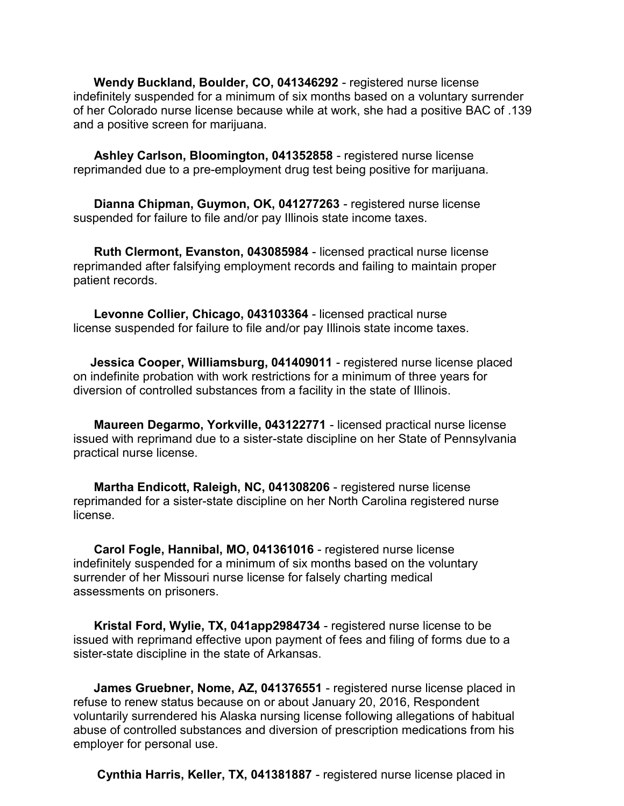**Wendy Buckland, Boulder, CO, 041346292** - registered nurse license indefinitely suspended for a minimum of six months based on a voluntary surrender of her Colorado nurse license because while at work, she had a positive BAC of .139 and a positive screen for marijuana.

**Ashley Carlson, Bloomington, 041352858** - registered nurse license reprimanded due to a pre-employment drug test being positive for marijuana.

**Dianna Chipman, Guymon, OK, 041277263** - registered nurse license suspended for failure to file and/or pay Illinois state income taxes.

**Ruth Clermont, Evanston, 043085984** - licensed practical nurse license reprimanded after falsifying employment records and failing to maintain proper patient records.

**Levonne Collier, Chicago, 043103364** - licensed practical nurse license suspended for failure to file and/or pay Illinois state income taxes.

**Jessica Cooper, Williamsburg, 041409011** - registered nurse license placed on indefinite probation with work restrictions for a minimum of three years for diversion of controlled substances from a facility in the state of Illinois.

**Maureen Degarmo, Yorkville, 043122771** - licensed practical nurse license issued with reprimand due to a sister-state discipline on her State of Pennsylvania practical nurse license.

**Martha Endicott, Raleigh, NC, 041308206** - registered nurse license reprimanded for a sister-state discipline on her North Carolina registered nurse license.

**Carol Fogle, Hannibal, MO, 041361016** - registered nurse license indefinitely suspended for a minimum of six months based on the voluntary surrender of her Missouri nurse license for falsely charting medical assessments on prisoners.

**Kristal Ford, Wylie, TX, 041app2984734** - registered nurse license to be issued with reprimand effective upon payment of fees and filing of forms due to a sister-state discipline in the state of Arkansas.

**James Gruebner, Nome, AZ, 041376551** - registered nurse license placed in refuse to renew status because on or about January 20, 2016, Respondent voluntarily surrendered his Alaska nursing license following allegations of habitual abuse of controlled substances and diversion of prescription medications from his employer for personal use.

**Cynthia Harris, Keller, TX, 041381887** - registered nurse license placed in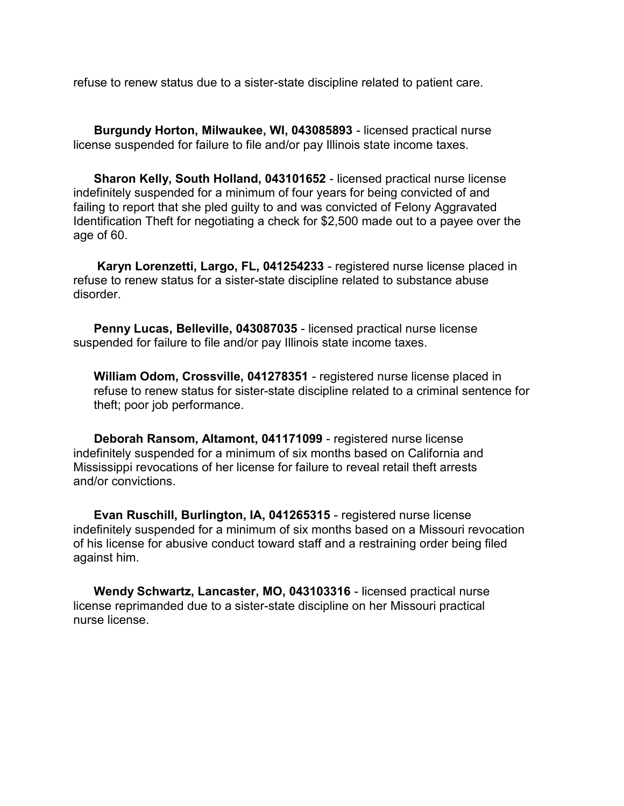refuse to renew status due to a sister-state discipline related to patient care.

**Burgundy Horton, Milwaukee, WI, 043085893** - licensed practical nurse license suspended for failure to file and/or pay Illinois state income taxes.

**Sharon Kelly, South Holland, 043101652** - licensed practical nurse license indefinitely suspended for a minimum of four years for being convicted of and failing to report that she pled guilty to and was convicted of Felony Aggravated Identification Theft for negotiating a check for \$2,500 made out to a payee over the age of 60.

**Karyn Lorenzetti, Largo, FL, 041254233** - registered nurse license placed in refuse to renew status for a sister-state discipline related to substance abuse disorder.

**Penny Lucas, Belleville, 043087035** - licensed practical nurse license suspended for failure to file and/or pay Illinois state income taxes.

**William Odom, Crossville, 041278351** - registered nurse license placed in refuse to renew status for sister-state discipline related to a criminal sentence for theft; poor job performance.

**Deborah Ransom, Altamont, 041171099** - registered nurse license indefinitely suspended for a minimum of six months based on California and Mississippi revocations of her license for failure to reveal retail theft arrests and/or convictions.

**Evan Ruschill, Burlington, IA, 041265315** - registered nurse license indefinitely suspended for a minimum of six months based on a Missouri revocation of his license for abusive conduct toward staff and a restraining order being filed against him.

**Wendy Schwartz, Lancaster, MO, 043103316** - licensed practical nurse license reprimanded due to a sister-state discipline on her Missouri practical nurse license.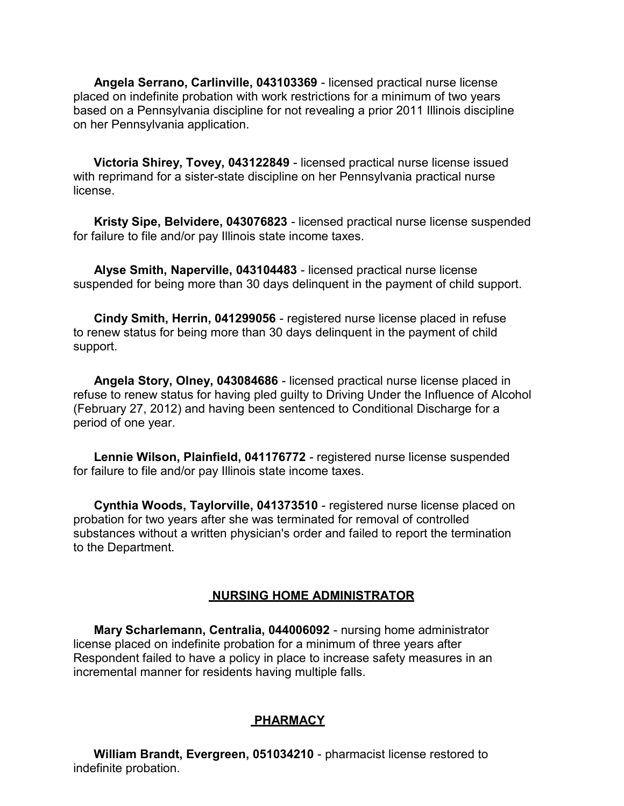**Angela Serrano, Carlinville, 043103369** - licensed practical nurse license placed on indefinite probation with work restrictions for a minimum of two years based on a Pennsylvania discipline for not revealing a prior 2011 Illinois discipline on her Pennsylvania application.

**Victoria Shirey, Tovey, 043122849** - licensed practical nurse license issued with reprimand for a sister-state discipline on her Pennsylvania practical nurse license.

**Kristy Sipe, Belvidere, 043076823** - licensed practical nurse license suspended for failure to file and/or pay Illinois state income taxes.

**Alyse Smith, Naperville, 043104483** - licensed practical nurse license suspended for being more than 30 days delinquent in the payment of child support.

**Cindy Smith, Herrin, 041299056** - registered nurse license placed in refuse to renew status for being more than 30 days delinquent in the payment of child support.

**Angela Story, Olney, 043084686** - licensed practical nurse license placed in refuse to renew status for having pled guilty to Driving Under the Influence of Alcohol (February 27, 2012) and having been sentenced to Conditional Discharge for a period of one year.

**Lennie Wilson, Plainfield, 041176772** - registered nurse license suspended for failure to file and/or pay Illinois state income taxes.

**Cynthia Woods, Taylorville, 041373510** - registered nurse license placed on probation for two years after she was terminated for removal of controlled substances without a written physician's order and failed to report the termination to the Department.

#### **NURSING HOME ADMINISTRATOR**

**Mary Scharlemann, Centralia, 044006092** - nursing home administrator license placed on indefinite probation for a minimum of three years after Respondent failed to have a policy in place to increase safety measures in an incremental manner for residents having multiple falls.

#### **PHARMACY**

**William Brandt, Evergreen, 051034210** - pharmacist license restored to indefinite probation.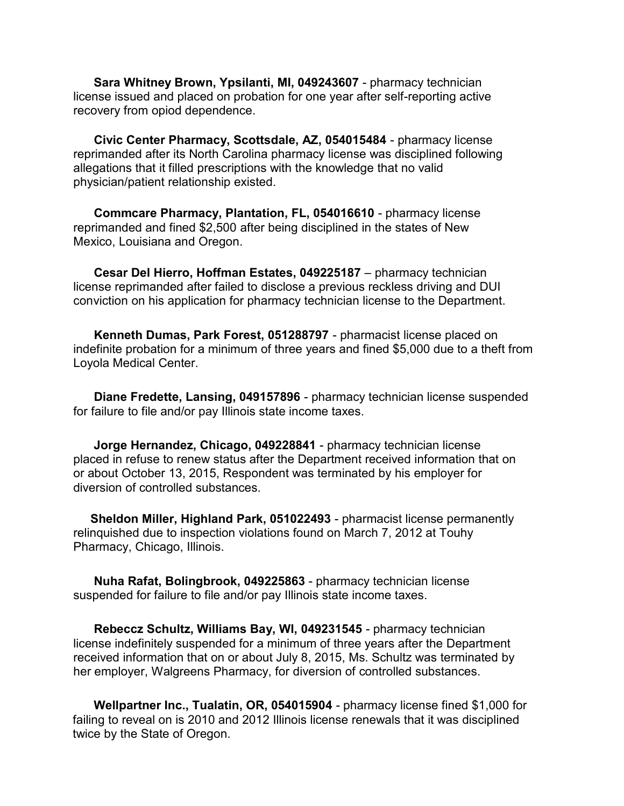**Sara Whitney Brown, Ypsilanti, MI, 049243607** - pharmacy technician license issued and placed on probation for one year after self-reporting active recovery from opiod dependence.

**Civic Center Pharmacy, Scottsdale, AZ, 054015484** - pharmacy license reprimanded after its North Carolina pharmacy license was disciplined following allegations that it filled prescriptions with the knowledge that no valid physician/patient relationship existed.

**Commcare Pharmacy, Plantation, FL, 054016610** - pharmacy license reprimanded and fined \$2,500 after being disciplined in the states of New Mexico, Louisiana and Oregon.

**Cesar Del Hierro, Hoffman Estates, 049225187** – pharmacy technician license reprimanded after failed to disclose a previous reckless driving and DUI conviction on his application for pharmacy technician license to the Department.

**Kenneth Dumas, Park Forest, 051288797** - pharmacist license placed on indefinite probation for a minimum of three years and fined \$5,000 due to a theft from Loyola Medical Center.

**Diane Fredette, Lansing, 049157896** - pharmacy technician license suspended for failure to file and/or pay Illinois state income taxes.

**Jorge Hernandez, Chicago, 049228841** - pharmacy technician license placed in refuse to renew status after the Department received information that on or about October 13, 2015, Respondent was terminated by his employer for diversion of controlled substances.

**Sheldon Miller, Highland Park, 051022493** - pharmacist license permanently relinquished due to inspection violations found on March 7, 2012 at Touhy Pharmacy, Chicago, Illinois.

**Nuha Rafat, Bolingbrook, 049225863** - pharmacy technician license suspended for failure to file and/or pay Illinois state income taxes.

**Rebeccz Schultz, Williams Bay, WI, 049231545** - pharmacy technician license indefinitely suspended for a minimum of three years after the Department received information that on or about July 8, 2015, Ms. Schultz was terminated by her employer, Walgreens Pharmacy, for diversion of controlled substances.

**Wellpartner Inc., Tualatin, OR, 054015904** - pharmacy license fined \$1,000 for failing to reveal on is 2010 and 2012 Illinois license renewals that it was disciplined twice by the State of Oregon.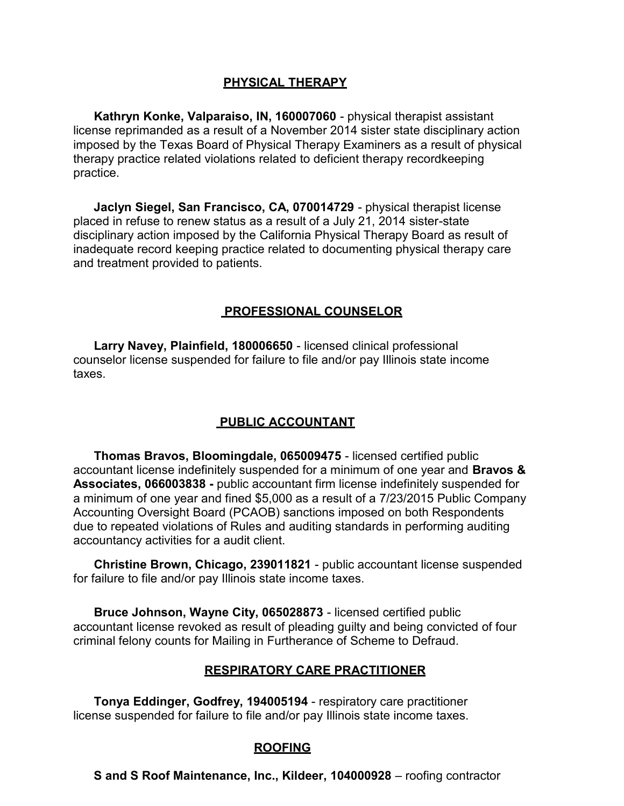# **PHYSICAL THERAPY**

**Kathryn Konke, Valparaiso, IN, 160007060** - physical therapist assistant license reprimanded as a result of a November 2014 sister state disciplinary action imposed by the Texas Board of Physical Therapy Examiners as a result of physical therapy practice related violations related to deficient therapy recordkeeping practice.

**Jaclyn Siegel, San Francisco, CA, 070014729** - physical therapist license placed in refuse to renew status as a result of a July 21, 2014 sister-state disciplinary action imposed by the California Physical Therapy Board as result of inadequate record keeping practice related to documenting physical therapy care and treatment provided to patients.

# **PROFESSIONAL COUNSELOR**

**Larry Navey, Plainfield, 180006650** - licensed clinical professional counselor license suspended for failure to file and/or pay Illinois state income taxes.

# **PUBLIC ACCOUNTANT**

**Thomas Bravos, Bloomingdale, 065009475** - licensed certified public accountant license indefinitely suspended for a minimum of one year and **Bravos & Associates, 066003838 -** public accountant firm license indefinitely suspended for a minimum of one year and fined \$5,000 as a result of a 7/23/2015 Public Company Accounting Oversight Board (PCAOB) sanctions imposed on both Respondents due to repeated violations of Rules and auditing standards in performing auditing accountancy activities for a audit client.

**Christine Brown, Chicago, 239011821** - public accountant license suspended for failure to file and/or pay Illinois state income taxes.

**Bruce Johnson, Wayne City, 065028873** - licensed certified public accountant license revoked as result of pleading guilty and being convicted of four criminal felony counts for Mailing in Furtherance of Scheme to Defraud.

# **RESPIRATORY CARE PRACTITIONER**

**Tonya Eddinger, Godfrey, 194005194** - respiratory care practitioner license suspended for failure to file and/or pay Illinois state income taxes.

# **ROOFING**

**S and S Roof Maintenance, Inc., Kildeer, 104000928** – roofing contractor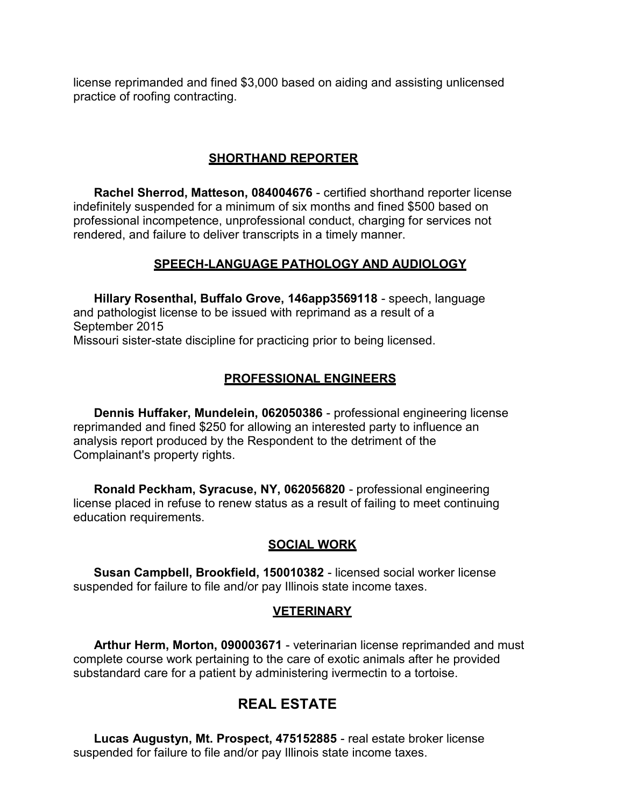license reprimanded and fined \$3,000 based on aiding and assisting unlicensed practice of roofing contracting.

#### **SHORTHAND REPORTER**

**Rachel Sherrod, Matteson, 084004676** - certified shorthand reporter license indefinitely suspended for a minimum of six months and fined \$500 based on professional incompetence, unprofessional conduct, charging for services not rendered, and failure to deliver transcripts in a timely manner.

#### **SPEECH-LANGUAGE PATHOLOGY AND AUDIOLOGY**

**Hillary Rosenthal, Buffalo Grove, 146app3569118** - speech, language and pathologist license to be issued with reprimand as a result of a September 2015 Missouri sister-state discipline for practicing prior to being licensed.

#### **PROFESSIONAL ENGINEERS**

**Dennis Huffaker, Mundelein, 062050386** - professional engineering license reprimanded and fined \$250 for allowing an interested party to influence an analysis report produced by the Respondent to the detriment of the Complainant's property rights.

**Ronald Peckham, Syracuse, NY, 062056820** - professional engineering license placed in refuse to renew status as a result of failing to meet continuing education requirements.

#### **SOCIAL WORK**

**Susan Campbell, Brookfield, 150010382** - licensed social worker license suspended for failure to file and/or pay Illinois state income taxes.

#### **VETERINARY**

**Arthur Herm, Morton, 090003671** - veterinarian license reprimanded and must complete course work pertaining to the care of exotic animals after he provided substandard care for a patient by administering ivermectin to a tortoise.

# **REAL ESTATE**

**Lucas Augustyn, Mt. Prospect, 475152885** - real estate broker license suspended for failure to file and/or pay Illinois state income taxes.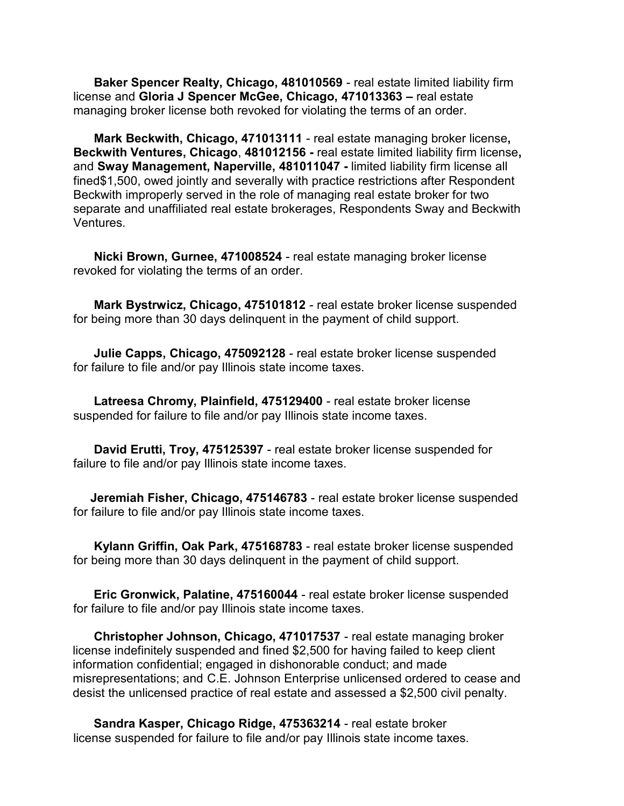**Baker Spencer Realty, Chicago, 481010569** - real estate limited liability firm license and **Gloria J Spencer McGee, Chicago, 471013363 –** real estate managing broker license both revoked for violating the terms of an order.

**Mark Beckwith, Chicago, 471013111** - real estate managing broker license**, Beckwith Ventures, Chicago**, **481012156 -** real estate limited liability firm license**,**  and **Sway Management, Naperville, 481011047 -** limited liability firm license all fined\$1,500, owed jointly and severally with practice restrictions after Respondent Beckwith improperly served in the role of managing real estate broker for two separate and unaffiliated real estate brokerages, Respondents Sway and Beckwith Ventures.

**Nicki Brown, Gurnee, 471008524** - real estate managing broker license revoked for violating the terms of an order.

**Mark Bystrwicz, Chicago, 475101812** - real estate broker license suspended for being more than 30 days delinquent in the payment of child support.

**Julie Capps, Chicago, 475092128** - real estate broker license suspended for failure to file and/or pay Illinois state income taxes.

**Latreesa Chromy, Plainfield, 475129400** - real estate broker license suspended for failure to file and/or pay Illinois state income taxes.

**David Erutti, Troy, 475125397** - real estate broker license suspended for failure to file and/or pay Illinois state income taxes.

**Jeremiah Fisher, Chicago, 475146783** - real estate broker license suspended for failure to file and/or pay Illinois state income taxes.

**Kylann Griffin, Oak Park, 475168783** - real estate broker license suspended for being more than 30 days delinquent in the payment of child support.

**Eric Gronwick, Palatine, 475160044** - real estate broker license suspended for failure to file and/or pay Illinois state income taxes.

**Christopher Johnson, Chicago, 471017537** - real estate managing broker license indefinitely suspended and fined \$2,500 for having failed to keep client information confidential; engaged in dishonorable conduct; and made misrepresentations; and C.E. Johnson Enterprise unlicensed ordered to cease and desist the unlicensed practice of real estate and assessed a \$2,500 civil penalty.

**Sandra Kasper, Chicago Ridge, 475363214** - real estate broker license suspended for failure to file and/or pay Illinois state income taxes.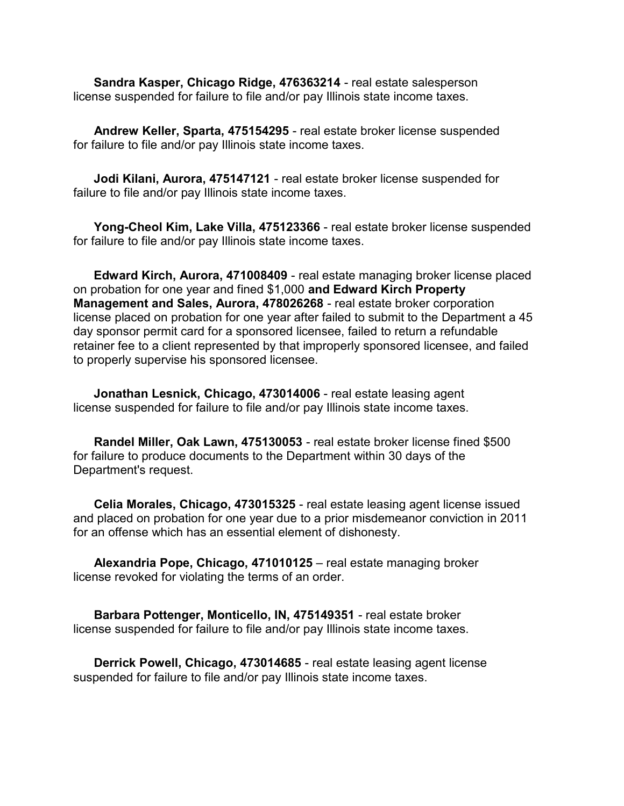**Sandra Kasper, Chicago Ridge, 476363214** - real estate salesperson license suspended for failure to file and/or pay Illinois state income taxes.

**Andrew Keller, Sparta, 475154295** - real estate broker license suspended for failure to file and/or pay Illinois state income taxes.

**Jodi Kilani, Aurora, 475147121** - real estate broker license suspended for failure to file and/or pay Illinois state income taxes.

**Yong-Cheol Kim, Lake Villa, 475123366** - real estate broker license suspended for failure to file and/or pay Illinois state income taxes.

**Edward Kirch, Aurora, 471008409** - real estate managing broker license placed on probation for one year and fined \$1,000 **and Edward Kirch Property Management and Sales, Aurora, 478026268** - real estate broker corporation license placed on probation for one year after failed to submit to the Department a 45 day sponsor permit card for a sponsored licensee, failed to return a refundable retainer fee to a client represented by that improperly sponsored licensee, and failed to properly supervise his sponsored licensee.

**Jonathan Lesnick, Chicago, 473014006** - real estate leasing agent license suspended for failure to file and/or pay Illinois state income taxes.

**Randel Miller, Oak Lawn, 475130053** - real estate broker license fined \$500 for failure to produce documents to the Department within 30 days of the Department's request.

**Celia Morales, Chicago, 473015325** - real estate leasing agent license issued and placed on probation for one year due to a prior misdemeanor conviction in 2011 for an offense which has an essential element of dishonesty.

**Alexandria Pope, Chicago, 471010125** – real estate managing broker license revoked for violating the terms of an order.

**Barbara Pottenger, Monticello, IN, 475149351** - real estate broker license suspended for failure to file and/or pay Illinois state income taxes.

**Derrick Powell, Chicago, 473014685** - real estate leasing agent license suspended for failure to file and/or pay Illinois state income taxes.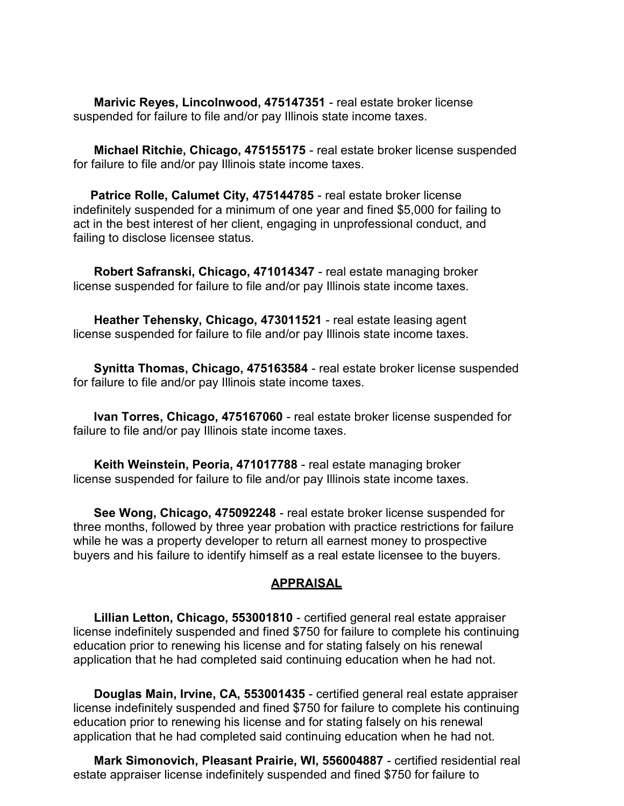**Marivic Reyes, Lincolnwood, 475147351** - real estate broker license suspended for failure to file and/or pay Illinois state income taxes.

**Michael Ritchie, Chicago, 475155175** - real estate broker license suspended for failure to file and/or pay Illinois state income taxes.

**Patrice Rolle, Calumet City, 475144785** - real estate broker license indefinitely suspended for a minimum of one year and fined \$5,000 for failing to act in the best interest of her client, engaging in unprofessional conduct, and failing to disclose licensee status.

**Robert Safranski, Chicago, 471014347** - real estate managing broker license suspended for failure to file and/or pay Illinois state income taxes.

**Heather Tehensky, Chicago, 473011521** - real estate leasing agent license suspended for failure to file and/or pay Illinois state income taxes.

**Synitta Thomas, Chicago, 475163584** - real estate broker license suspended for failure to file and/or pay Illinois state income taxes.

**Ivan Torres, Chicago, 475167060** - real estate broker license suspended for failure to file and/or pay Illinois state income taxes.

**Keith Weinstein, Peoria, 471017788** - real estate managing broker license suspended for failure to file and/or pay Illinois state income taxes.

**See Wong, Chicago, 475092248** - real estate broker license suspended for three months, followed by three year probation with practice restrictions for failure while he was a property developer to return all earnest money to prospective buyers and his failure to identify himself as a real estate licensee to the buyers.

#### **APPRAISAL**

**Lillian Letton, Chicago, 553001810** - certified general real estate appraiser license indefinitely suspended and fined \$750 for failure to complete his continuing education prior to renewing his license and for stating falsely on his renewal application that he had completed said continuing education when he had not.

**Douglas Main, Irvine, CA, 553001435** - certified general real estate appraiser license indefinitely suspended and fined \$750 for failure to complete his continuing education prior to renewing his license and for stating falsely on his renewal application that he had completed said continuing education when he had not.

**Mark Simonovich, Pleasant Prairie, WI, 556004887** - certified residential real estate appraiser license indefinitely suspended and fined \$750 for failure to